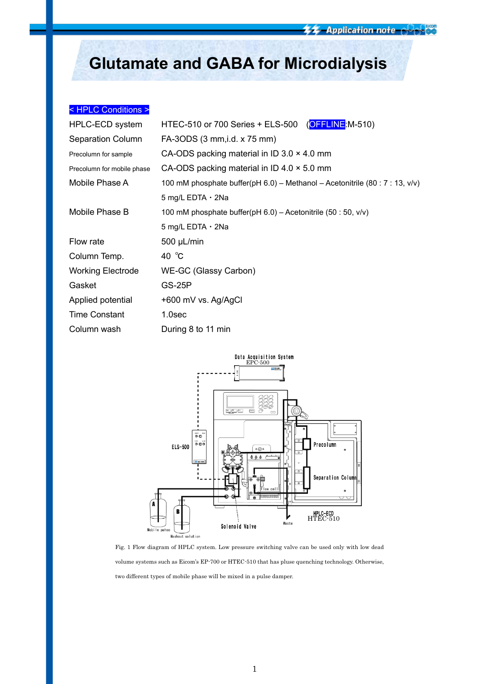# **Glutamate and GABA for Microdialysis**

# < HPLC Conditions >

| <b>HPLC-ECD system</b>     | HTEC-510 or 700 Series + ELS-500 (OFFLINE:M-510)                             |  |  |
|----------------------------|------------------------------------------------------------------------------|--|--|
| <b>Separation Column</b>   | FA-3ODS (3 mm, i.d. x 75 mm)                                                 |  |  |
| Precolumn for sample       | CA-ODS packing material in ID 3.0 $\times$ 4.0 mm                            |  |  |
| Precolumn for mobile phase | CA-ODS packing material in ID 4.0 $\times$ 5.0 mm                            |  |  |
| Mobile Phase A             | 100 mM phosphate buffer(pH 6.0) - Methanol - Acetonitrile (80 : 7 : 13, v/v) |  |  |
|                            | 5 mg/L EDTA $\cdot$ 2Na                                                      |  |  |
| Mobile Phase B             | 100 mM phosphate buffer(pH $6.0$ ) – Acetonitrile (50 : 50, v/v)             |  |  |
|                            | 5 mg/L EDTA $\cdot$ 2Na                                                      |  |  |
| Flow rate                  | $500 \mu L/min$                                                              |  |  |
| Column Temp.               | 40 $^{\circ}$ C                                                              |  |  |
| <b>Working Electrode</b>   | WE-GC (Glassy Carbon)                                                        |  |  |
| Gasket                     | <b>GS-25P</b>                                                                |  |  |
| Applied potential          | +600 mV vs. Ag/AgCl                                                          |  |  |
| <b>Time Constant</b>       | 1.0 <sub>sec</sub>                                                           |  |  |
| Column wash                | During 8 to 11 min                                                           |  |  |



Fig. 1 Flow diagram of HPLC system. Low pressure switching valve can be used only with low dead volume systems such as Eicom's EP-700 or HTEC-510 that has pluse quenching technology. Otherwise, two different types of mobile phase will be mixed in a pulse damper.